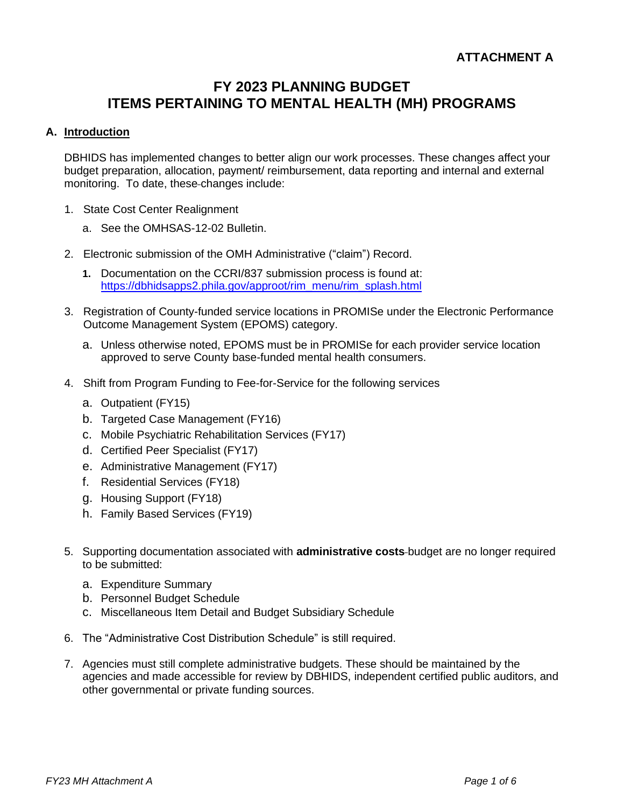# **FY 2023 PLANNING BUDGET ITEMS PERTAINING TO MENTAL HEALTH (MH) PROGRAMS**

# **A. Introduction**

DBHIDS has implemented changes to better align our work processes. These changes affect your budget preparation, allocation, payment/ reimbursement, data reporting and internal and external monitoring. To date, these changes include:

- 1. State Cost Center Realignment
	- a. See the OMHSAS-12-02 Bulletin.
- 2. Electronic submission of the OMH Administrative ("claim") Record.
	- **1.** Documentation on the CCRI/837 submission process is found at: [https://dbhidsapps2.phila.gov/approot/rim\\_menu/rim\\_splash.html](https://dbhidsapps2.phila.gov/approot/rim_menu/rim_splash.html)
- 3. Registration of County-funded service locations in PROMISe under the Electronic Performance Outcome Management System (EPOMS) category.
	- a. Unless otherwise noted, EPOMS must be in PROMISe for each provider service location approved to serve County base-funded mental health consumers.
- 4. Shift from Program Funding to Fee-for-Service for the following services
	- a. Outpatient (FY15)
	- b. Targeted Case Management (FY16)
	- c. Mobile Psychiatric Rehabilitation Services (FY17)
	- d. Certified Peer Specialist (FY17)
	- e. Administrative Management (FY17)
	- f. Residential Services (FY18)
	- g. Housing Support (FY18)
	- h. Family Based Services (FY19)
- 5. Supporting documentation associated with **administrative costs** budget are no longer required to be submitted:
	- a. Expenditure Summary
	- b. Personnel Budget Schedule
	- c. Miscellaneous Item Detail and Budget Subsidiary Schedule
- 6. The "Administrative Cost Distribution Schedule" is still required.
- 7. Agencies must still complete administrative budgets. These should be maintained by the agencies and made accessible for review by DBHIDS, independent certified public auditors, and other governmental or private funding sources.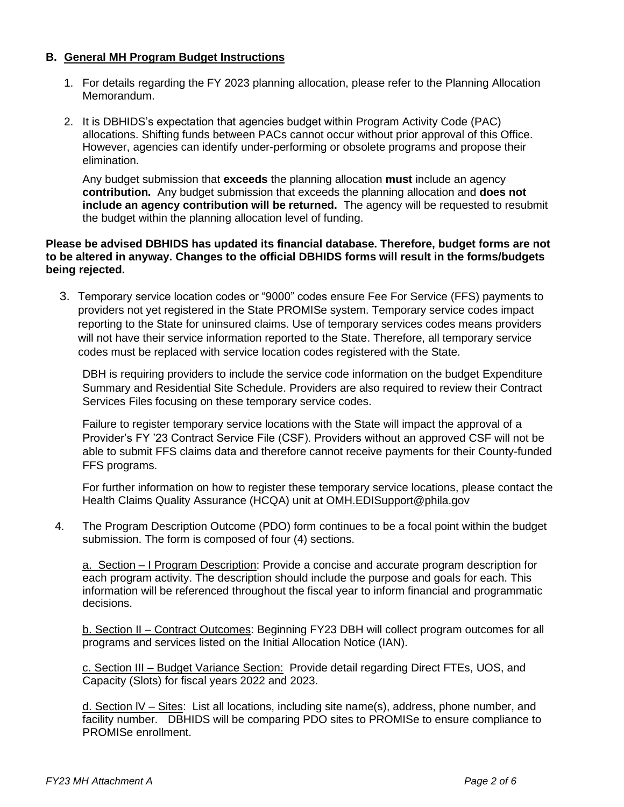#### **B. General MH Program Budget Instructions**

- 1. For details regarding the FY 2023 planning allocation, please refer to the Planning Allocation Memorandum.
- 2. It is DBHIDS's expectation that agencies budget within Program Activity Code (PAC) allocations. Shifting funds between PACs cannot occur without prior approval of this Office. However, agencies can identify under-performing or obsolete programs and propose their elimination.

Any budget submission that **exceeds** the planning allocation **must** include an agency **contribution.** Any budget submission that exceeds the planning allocation and **does not include an agency contribution will be returned.** The agency will be requested to resubmit the budget within the planning allocation level of funding.

#### **Please be advised DBHIDS has updated its financial database. Therefore, budget forms are not to be altered in anyway. Changes to the official DBHIDS forms will result in the forms/budgets being rejected.**

3. Temporary service location codes or "9000" codes ensure Fee For Service (FFS) payments to providers not yet registered in the State PROMISe system. Temporary service codes impact reporting to the State for uninsured claims. Use of temporary services codes means providers will not have their service information reported to the State. Therefore, all temporary service codes must be replaced with service location codes registered with the State.

DBH is requiring providers to include the service code information on the budget Expenditure Summary and Residential Site Schedule. Providers are also required to review their Contract Services Files focusing on these temporary service codes.

Failure to register temporary service locations with the State will impact the approval of a Provider's FY '23 Contract Service File (CSF). Providers without an approved CSF will not be able to submit FFS claims data and therefore cannot receive payments for their County-funded FFS programs.

For further information on how to register these temporary service locations, please contact the Health Claims Quality Assurance (HCQA) unit at [OMH.EDISupport@phila.gov](mailto:OMH.EDISupport@phila.gov)

4. The Program Description Outcome (PDO) form continues to be a focal point within the budget submission. The form is composed of four (4) sections.

a. Section – I Program Description: Provide a concise and accurate program description for each program activity. The description should include the purpose and goals for each. This information will be referenced throughout the fiscal year to inform financial and programmatic decisions.

b. Section II – Contract Outcomes: Beginning FY23 DBH will collect program outcomes for all programs and services listed on the Initial Allocation Notice (IAN).

c. Section III – Budget Variance Section: Provide detail regarding Direct FTEs, UOS, and Capacity (Slots) for fiscal years 2022 and 2023.

d. Section lV – Sites: List all locations, including site name(s), address, phone number, and facility number. DBHIDS will be comparing PDO sites to PROMISe to ensure compliance to PROMISe enrollment.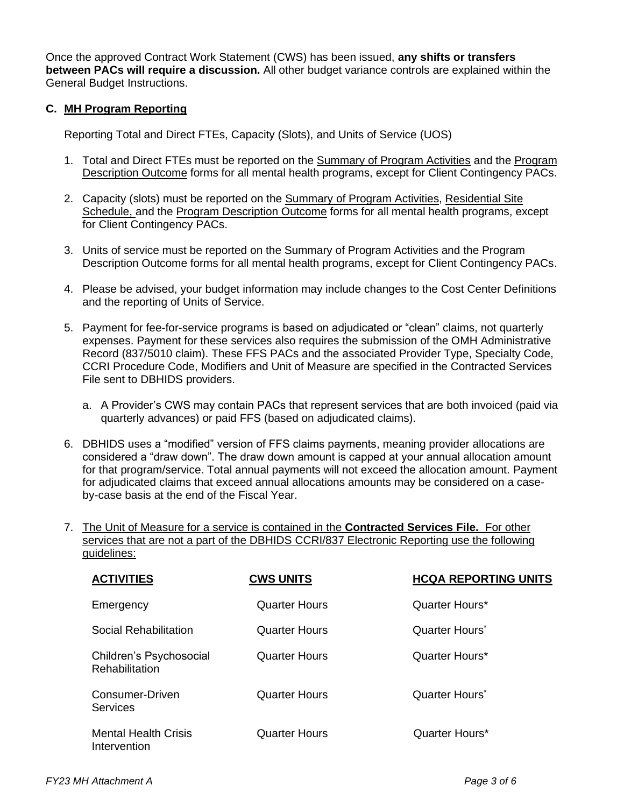Once the approved Contract Work Statement (CWS) has been issued, **any shifts or transfers between PACs will require a discussion.** All other budget variance controls are explained within the General Budget Instructions.

# **C. MH Program Reporting**

Reporting Total and Direct FTEs, Capacity (Slots), and Units of Service (UOS)

- 1. Total and Direct FTEs must be reported on the Summary of Program Activities and the Program Description Outcome forms for all mental health programs, except for Client Contingency PACs.
- 2. Capacity (slots) must be reported on the Summary of Program Activities, Residential Site Schedule, and the Program Description Outcome forms for all mental health programs, except for Client Contingency PACs.
- 3. Units of service must be reported on the Summary of Program Activities and the Program Description Outcome forms for all mental health programs, except for Client Contingency PACs.
- 4. Please be advised, your budget information may include changes to the Cost Center Definitions and the reporting of Units of Service.
- 5. Payment for fee-for-service programs is based on adjudicated or "clean" claims, not quarterly expenses. Payment for these services also requires the submission of the OMH Administrative Record (837/5010 claim). These FFS PACs and the associated Provider Type, Specialty Code, CCRI Procedure Code, Modifiers and Unit of Measure are specified in the Contracted Services File sent to DBHIDS providers.
	- a. A Provider's CWS may contain PACs that represent services that are both invoiced (paid via quarterly advances) or paid FFS (based on adjudicated claims).
- 6. DBHIDS uses a "modified" version of FFS claims payments, meaning provider allocations are considered a "draw down". The draw down amount is capped at your annual allocation amount for that program/service. Total annual payments will not exceed the allocation amount. Payment for adjudicated claims that exceed annual allocations amounts may be considered on a caseby-case basis at the end of the Fiscal Year.
- 7. The Unit of Measure for a service is contained in the **Contracted Services File.** For other services that are not a part of the DBHIDS CCRI/837 Electronic Reporting use the following guidelines:

| <b>ACTIVITIES</b>                                | <b>CWS UNITS</b>     | <b>HCQA REPORTING UNITS</b> |
|--------------------------------------------------|----------------------|-----------------------------|
| Emergency                                        | <b>Quarter Hours</b> | Quarter Hours*              |
| Social Rehabilitation                            | <b>Quarter Hours</b> | Quarter Hours <sup>*</sup>  |
| Children's Psychosocial<br><b>Rehabilitation</b> | Quarter Hours        | Quarter Hours*              |
| Consumer-Driven<br><b>Services</b>               | Quarter Hours        | Quarter Hours*              |
| <b>Mental Health Crisis</b><br>Intervention      | Quarter Hours        | Quarter Hours*              |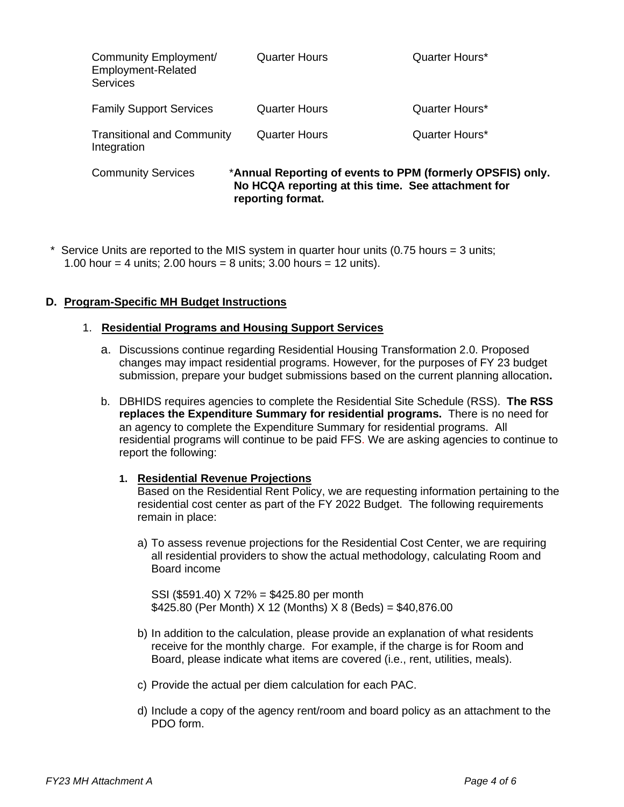| Community Employment/<br>Employment-Related<br><b>Services</b> | <b>Quarter Hours</b>                                                                                                                  | Quarter Hours* |
|----------------------------------------------------------------|---------------------------------------------------------------------------------------------------------------------------------------|----------------|
| <b>Family Support Services</b>                                 | <b>Quarter Hours</b>                                                                                                                  | Quarter Hours* |
| <b>Transitional and Community</b><br>Integration               | <b>Quarter Hours</b>                                                                                                                  | Quarter Hours* |
| <b>Community Services</b>                                      | *Annual Reporting of events to PPM (formerly OPSFIS) only.<br>No HCQA reporting at this time. See attachment for<br>reporting format. |                |

Service Units are reported to the MIS system in quarter hour units (0.75 hours  $=$  3 units; 1.00 hour = 4 units; 2.00 hours = 8 units; 3.00 hours = 12 units).

# **D. Program-Specific MH Budget Instructions**

#### 1. **Residential Programs and Housing Support Services**

- a. Discussions continue regarding Residential Housing Transformation 2.0. Proposed changes may impact residential programs. However, for the purposes of FY 23 budget submission, prepare your budget submissions based on the current planning allocation**.**
- b. DBHIDS requires agencies to complete the Residential Site Schedule (RSS). **The RSS replaces the Expenditure Summary for residential programs.** There is no need for an agency to complete the Expenditure Summary for residential programs. All residential programs will continue to be paid FFS. We are asking agencies to continue to report the following:

#### **1. Residential Revenue Projections**

Based on the Residential Rent Policy, we are requesting information pertaining to the residential cost center as part of the FY 2022 Budget. The following requirements remain in place:

a) To assess revenue projections for the Residential Cost Center, we are requiring all residential providers to show the actual methodology, calculating Room and Board income

SSI (\$591.40) X 72% = \$425.80 per month \$425.80 (Per Month) X 12 (Months) X 8 (Beds) = \$40,876.00

- b) In addition to the calculation, please provide an explanation of what residents receive for the monthly charge. For example, if the charge is for Room and Board, please indicate what items are covered (i.e., rent, utilities, meals).
- c) Provide the actual per diem calculation for each PAC.
- d) Include a copy of the agency rent/room and board policy as an attachment to the PDO form.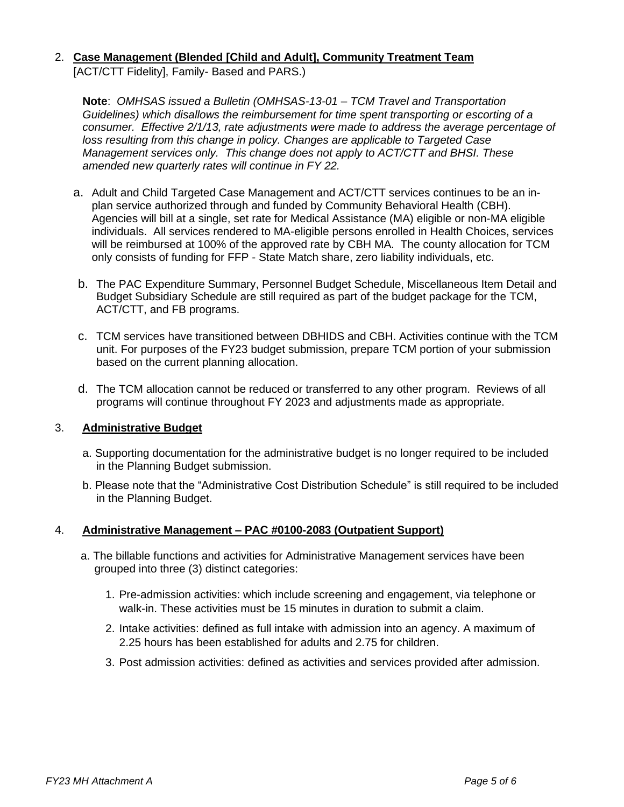## 2. **Case Management (Blended [Child and Adult], Community Treatment Team**  [ACT/CTT Fidelity], Family- Based and PARS.)

**Note**: *OMHSAS issued a Bulletin (OMHSAS-13-01 – TCM Travel and Transportation Guidelines) which disallows the reimbursement for time spent transporting or escorting of a consumer. Effective 2/1/13, rate adjustments were made to address the average percentage of loss resulting from this change in policy. Changes are applicable to Targeted Case Management services only. This change does not apply to ACT/CTT and BHSI. These amended new quarterly rates will continue in FY 22.*

- a. Adult and Child Targeted Case Management and ACT/CTT services continues to be an inplan service authorized through and funded by Community Behavioral Health (CBH). Agencies will bill at a single, set rate for Medical Assistance (MA) eligible or non-MA eligible individuals. All services rendered to MA-eligible persons enrolled in Health Choices, services will be reimbursed at 100% of the approved rate by CBH MA. The county allocation for TCM only consists of funding for FFP - State Match share, zero liability individuals, etc.
- b. The PAC Expenditure Summary, Personnel Budget Schedule, Miscellaneous Item Detail and Budget Subsidiary Schedule are still required as part of the budget package for the TCM, ACT/CTT, and FB programs.
- c. TCM services have transitioned between DBHIDS and CBH. Activities continue with the TCM unit. For purposes of the FY23 budget submission, prepare TCM portion of your submission based on the current planning allocation.
- d. The TCM allocation cannot be reduced or transferred to any other program. Reviews of all programs will continue throughout FY 2023 and adjustments made as appropriate.

## 3. **Administrative Budget**

- a. Supporting documentation for the administrative budget is no longer required to be included in the Planning Budget submission.
- b. Please note that the "Administrative Cost Distribution Schedule" is still required to be included in the Planning Budget.

## 4. **Administrative Management – PAC #0100-2083 (Outpatient Support)**

- a. The billable functions and activities for Administrative Management services have been grouped into three (3) distinct categories:
	- 1. Pre-admission activities: which include screening and engagement, via telephone or walk-in. These activities must be 15 minutes in duration to submit a claim.
	- 2. Intake activities: defined as full intake with admission into an agency. A maximum of 2.25 hours has been established for adults and 2.75 for children.
	- 3. Post admission activities: defined as activities and services provided after admission.